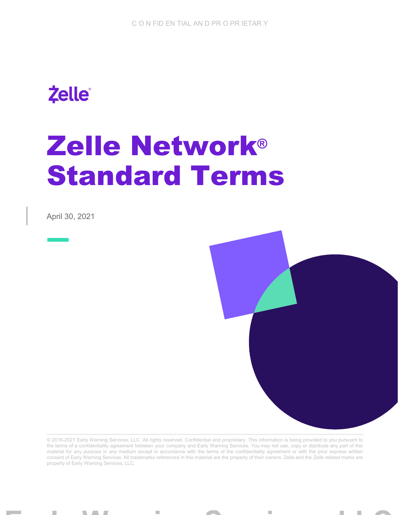## **Zelle**®

# Zelle Network**®**  Standard Terms

April 30, 2021

 $\sim$   $\sim$   $\sim$   $\sim$   $\sim$   $\sim$   $\sim$   $\sim$ 

▩



獥

▓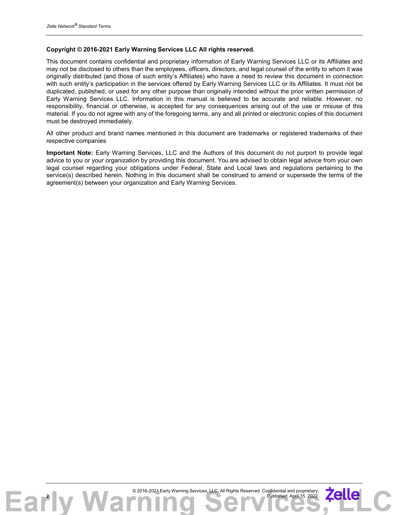#### **Copyright © 2016-2021 Early Warning Services LLC All rights reserved.**

This document contains confidential and proprietary information of Early Warning Services LLC or its Affiliates and may not be disclosed to others than the employees, officers, directors, and legal counsel of the entity to whom it was originally distributed (and those of such entity's Affiliates) who have a need to review this document in connection with such entity's participation in the services offered by Early Warning Services LLC or its Affiliates. It must not be duplicated, published, or used for any other purpose than originally intended without the prior written permission of Early Warning Services LLC. Information in this manual is believed to be accurate and reliable. However, no responsibility, financial or otherwise, is accepted for any consequences arising out of the use or misuse of this material. If you do not agree with any of the foregoing terms, any and all printed or electronic copies of this document must be destroyed immediately.

All other product and brand names mentioned in this document are trademarks or registered trademarks of their respective companies

**Important Note:** Early Warning Services, LLC and the Authors of this document do not purport to provide legal advice to you or your organization by providing this document. You are advised to obtain legal advice from your own legal counsel regarding your obligations under Federal, State and Local laws and regulations pertaining to the service(s) described herein. Nothing in this document shall be construed to amend or supersede the terms of the agreement(s) between your organization and Early Warning Services.

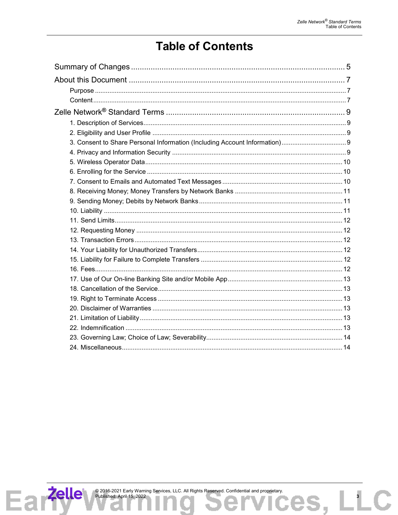$\mathbf{L}$ 

## **Table of Contents**

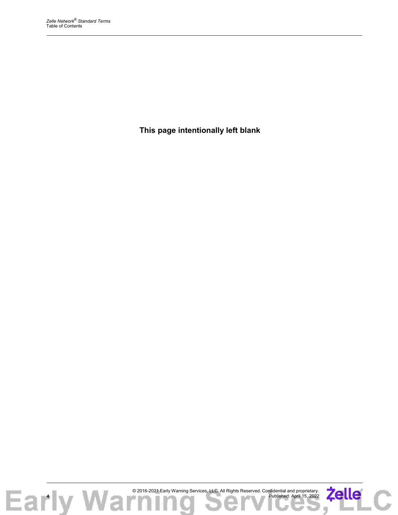**This page intentionally left blank**

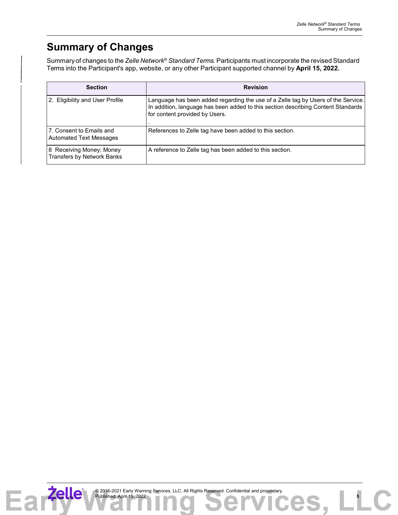## **Summary of Changes**

Summary of changes to the *Zelle Network*® *Standard Terms.* Participants must incorporate the revised Standard Terms into the Participant's app, website, or any other Participant supported channel by **April 15, 2022.**

| <b>Section</b>                                             | <b>Revision</b>                                                                                                                                                                                          |
|------------------------------------------------------------|----------------------------------------------------------------------------------------------------------------------------------------------------------------------------------------------------------|
| 2. Eligibility and User Profile                            | Language has been added regarding the use of a Zelle tag by Users of the Service.<br>In addition, language has been added to this section describing Content Standards<br>for content provided by Users. |
| 7. Consent to Emails and<br><b>Automated Text Messages</b> | References to Zelle tag have been added to this section.                                                                                                                                                 |
| 8 Receiving Money; Money<br>Transfers by Network Banks     | A reference to Zelle tag has been added to this section.                                                                                                                                                 |

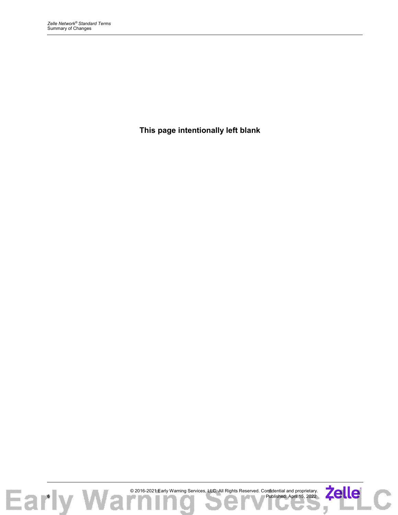**This page intentionally left blank**

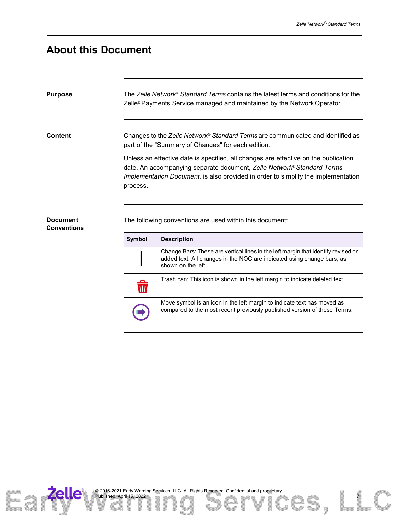## **About this Document**

|                                       |                                                                                                                                                   | The Zelle Network® Standard Terms contains the latest terms and conditions for the<br>Zelle® Payments Service managed and maintained by the Network Operator.                                                                                      |  |
|---------------------------------------|---------------------------------------------------------------------------------------------------------------------------------------------------|----------------------------------------------------------------------------------------------------------------------------------------------------------------------------------------------------------------------------------------------------|--|
| <b>Content</b>                        | Changes to the Zelle Network <sup>®</sup> Standard Terms are communicated and identified as<br>part of the "Summary of Changes" for each edition. |                                                                                                                                                                                                                                                    |  |
|                                       | process.                                                                                                                                          | Unless an effective date is specified, all changes are effective on the publication<br>date. An accompanying separate document, Zelle Network® Standard Terms<br>Implementation Document, is also provided in order to simplify the implementation |  |
|                                       |                                                                                                                                                   |                                                                                                                                                                                                                                                    |  |
| <b>Document</b><br><b>Conventions</b> |                                                                                                                                                   | The following conventions are used within this document:                                                                                                                                                                                           |  |
|                                       | Symbol                                                                                                                                            | <b>Description</b>                                                                                                                                                                                                                                 |  |
|                                       |                                                                                                                                                   | Change Bars: These are vertical lines in the left margin that identify revised or<br>added text. All changes in the NOC are indicated using change bars, as<br>shown on the left.                                                                  |  |
|                                       |                                                                                                                                                   | Trash can: This icon is shown in the left margin to indicate deleted text.                                                                                                                                                                         |  |



© 2016-2021 Early Warning Services, LLC. All Rights Reserved. Confidential and proprietary.

Published: April 15, 2022 **7**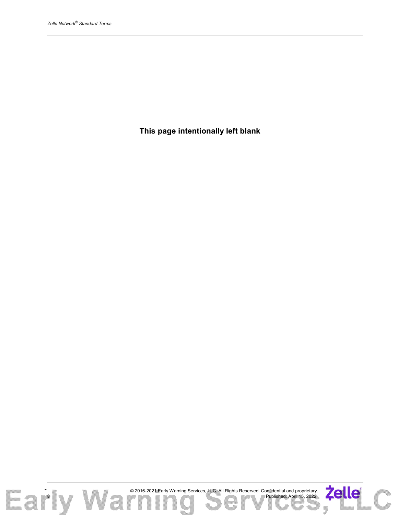**This page intentionally left blank**

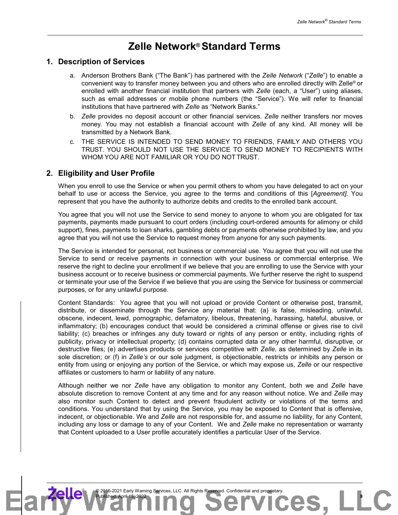### **Zelle Network® Standard Terms**

#### **1. Description of Services**

- a. Anderson Brothers Bank ("The Bank") has partnered with the *Zelle Network* ("*Zelle*") to enable a convenient way to transfer money between you and others who are enrolled directly with Zelle® or enrolled with another financial institution that partners with *Zelle* (each, a "User") using aliases, such as email addresses or mobile phone numbers (the "Service"). We will refer to financial institutions that have partnered with *Zelle* as "Network Banks."
- b. *Zelle* provides no deposit account or other financial services. *Zelle* neither transfers nor moves money. You may not establish a financial account with *Zelle* of any kind. All money will be transmitted by a Network Bank.
- c. THE SERVICE IS INTENDED TO SEND MONEY TO FRIENDS, FAMILY AND OTHERS YOU TRUST. YOU SHOULD NOT USE THE SERVICE TO SEND MONEY TO RECIPIENTS WITH WHOM YOU ARE NOT FAMILIAR OR YOU DO NOTTRUST.

#### **2. Eligibility and User Profile**

e

When you enroll to use the Service or when you permit others to whom you have delegated to act on your behalf to use or access the Service, you agree to the terms and conditions of this [*Agreement]*. You represent that you have the authority to authorize debits and credits to the enrolled bank account.

You agree that you will not use the Service to send money to anyone to whom you are obligated for tax payments, payments made pursuant to court orders (including court-ordered amounts for alimony or child support), fines, payments to loan sharks, gambling debts or payments otherwise prohibited by law, and you agree that you will not use the Service to request money from anyone for any such payments.

The Service is intended for personal, not business or commercial use. You agree that you will not use the Service to send or receive payments in connection with your business or commercial enterprise. We reserve the right to decline your enrollment if we believe that you are enrolling to use the Service with your business account or to receive business or commercial payments. We further reserve the right to suspend or terminate your use of the Service if we believe that you are using the Service for business or commercial purposes, or for any unlawful purpose.

Content Standards: You agree that you will not upload or provide Content or otherwise post, transmit, distribute, or disseminate through the Service any material that: (a) is false, misleading, unlawful, obscene, indecent, lewd, pornographic, defamatory, libelous, threatening, harassing, hateful, abusive, or inflammatory; (b) encourages conduct that would be considered a criminal offense or gives rise to civil liability; (c) breaches or infringes any duty toward or rights of any person or entity, including rights of publicity, privacy or intellectual property; (d) contains corrupted data or any other harmful, disruptive, or destructive files; (e) advertises products or services competitive with *Zelle*, as determined by *Zelle* in its sole discretion; or (f) in *Zelle's* or our sole judgment, is objectionable, restricts or inhibits any person or entity from using or enjoying any portion of the Service, or which may expose us, *Zelle* or our respective affiliates or customers to harm or liability of any nature.

Although neither we nor *Zelle* have any obligation to monitor any Content, both we and *Zelle* have absolute discretion to remove Content at any time and for any reason without notice. We and *Zelle* may also monitor such Content to detect and prevent fraudulent activity or violations of the terms and conditions. You understand that by using the Service, you may be exposed to Content that is offensive, indecent, or objectionable. We and *Zelle* are not responsible for, and assume no liability, for any Content, including any loss or damage to any of your Content. We and *Zelle* make no representation or warranty that Content uploaded to a User profile accurately identifies a particular User of the Service.

Published: April 15, 2022 **9**

© 2016-2021 Early Warning Services, LLC. All Rights Reserved. Confidential and proprietary.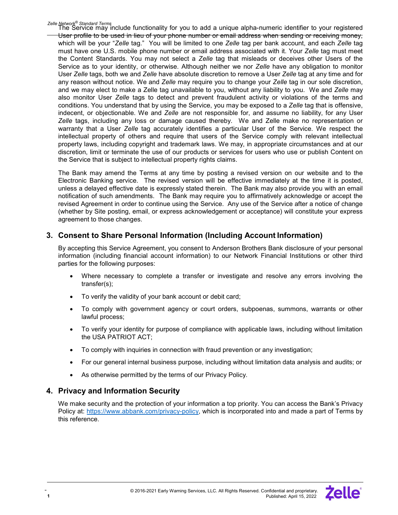*Zelle Network*® *Standard Terms* The Service may include functionality for you to add a unique alpha-numeric identifier to your registered

User profile to be used in lieu of your phone number or email address when sending or receiving money, which will be your "*Zelle* tag." You will be limited to one *Zelle* tag per bank account, and each *Zelle* tag must have one U.S. mobile phone number or email address associated with it. Your *Zelle* tag must meet the Content Standards. You may not select a *Zelle* tag that misleads or deceives other Users of the Service as to your identity, or otherwise. Although neither we nor *Zelle* have any obligation to monitor User *Zelle* tags, both we and *Zelle* have absolute discretion to remove a User *Zelle* tag at any time and for any reason without notice. We and *Zelle* may require you to change your *Zelle* tag in our sole discretion, and we may elect to make a Zelle tag unavailable to you, without any liability to you. We and *Zelle* may also monitor User *Zelle* tags to detect and prevent fraudulent activity or violations of the terms and conditions. You understand that by using the Service, you may be exposed to a *Zelle* tag that is offensive, indecent, or objectionable. We and *Zelle* are not responsible for, and assume no liability, for any User *Zelle* tags, including any loss or damage caused thereby. We and Zelle make no representation or warranty that a User *Zelle* tag accurately identifies a particular User of the Service. We respect the intellectual property of others and require that users of the Service comply with relevant intellectual property laws, including copyright and trademark laws. We may, in appropriate circumstances and at our discretion, limit or terminate the use of our products or services for users who use or publish Content on the Service that is subject to intellectual property rights claims.

The Bank may amend the Terms at any time by posting a revised version on our website and to the Electronic Banking service. The revised version will be effective immediately at the time it is posted, unless a delayed effective date is expressly stated therein. The Bank may also provide you with an email notification of such amendments. The Bank may require you to affirmatively acknowledge or accept the revised Agreement in order to continue using the Service. Any use of the Service after a notice of change (whether by Site posting, email, or express acknowledgement or acceptance) will constitute your express agreement to those changes.

#### **3. Consent to Share Personal Information (Including Account Information)**

By accepting this Service Agreement, you consent to Anderson Brothers Bank disclosure of your personal information (including financial account information) to our Network Financial Institutions or other third parties for the following purposes:

- Where necessary to complete a transfer or investigate and resolve any errors involving the transfer(s);
- To verify the validity of your bank account or debit card;
- To comply with government agency or court orders, subpoenas, summons, warrants or other lawful process;
- To verify your identity for purpose of compliance with applicable laws, including without limitation the USA PATRIOT ACT;
- To comply with inquiries in connection with fraud prevention or any investigation;
- For our general internal business purpose, including without limitation data analysis and audits; or
- As otherwise permitted by the terms of our Privacy Policy.

#### **4. Privacy and Information Security**

We make security and the protection of your information a top priority. You can access the Bank's Privacy Policy at: [https://www.abbank.com/privacy-policy,](https://www.abbank.com/privacy-policy) which is incorporated into and made a part of Terms by this reference.

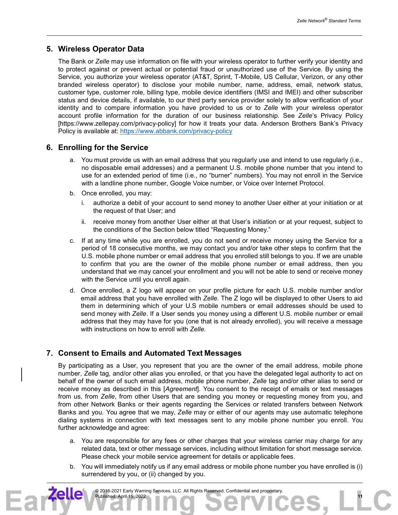#### **5. Wireless Operator Data**

The Bank or *Zelle* may use information on file with your wireless operator to further verify your identity and to protect against or prevent actual or potential fraud or unauthorized use of the Service. By using the Service, you authorize your wireless operator (AT&T, Sprint, T-Mobile, US Cellular, Verizon, or any other branded wireless operator) to disclose your mobile number, name, address, email, network status, customer type, customer role, billing type, mobile device identifiers (IMSI and IMEI) and other subscriber status and device details, if available, to our third party service provider solely to allow verification of your identity and to compare information you have provided to us or to *Zelle* with your wireless operator account profile information for the duration of our business relationship. See *Zelle*'s Privacy Policy [\[https://www.zellepay.](http://www.zellepay.com/privacy-policy)com/p[rivacy-policy\]](http://www.zellepay.com/privacy-policy) for how it treats your data. Anderson Brothers Bank's Privacy Policy is available at: <https://www.abbank.com/privacy-policy>

#### **6. Enrolling for the Service**

- a. You must provide us with an email address that you regularly use and intend to use regularly (i.e., no disposable email addresses) and a permanent U.S. mobile phone number that you intend to use for an extended period of time (i.e., no "burner" numbers). You may not enroll in the Service with a landline phone number, Google Voice number, or Voice over Internet Protocol.
- b. Once enrolled, you may:
	- i. authorize a debit of your account to send money to another User either at your initiation or at the request of that User; and
	- ii. receive money from another User either at that User's initiation or at your request, subject to the conditions of the Section below titled "Requesting Money."
- c. If at any time while you are enrolled, you do not send or receive money using the Service for a period of 18 consecutive months, we may contact you and/or take other steps to confirm that the U.S. mobile phone number or email address that you enrolled still belongs to you. If we are unable to confirm that you are the owner of the mobile phone number or email address, then you understand that we may cancel your enrollment and you will not be able to send or receive money with the Service until you enroll again.
- d. Once enrolled, a Z logo will appear on your profile picture for each U.S. mobile number and/or email address that you have enrolled with *Zelle.* The Z logo will be displayed to other Users to aid them in determining which of your U.S mobile numbers or email addresses should be used to send money with *Zelle*. If a User sends you money using a different U.S. mobile number or email address that they may have for you (one that is not already enrolled), you will receive a message with instructions on how to enroll with *Zelle.*

#### **7. Consent to Emails and Automated Text Messages**

Published: April 15, 2022 **11**

**Zelle** 

By participating as a User, you represent that you are the owner of the email address, mobile phone number, *Zelle* tag, and/or other alias you enrolled, or that you have the delegated legal authority to act on behalf of the owner of such email address, mobile phone number, *Zelle* tag and/or other alias to send or receive money as described in this [*Agreement*]. You consent to the receipt of emails or text messages from us, from *Zelle*, from other Users that are sending you money or requesting money from you, and from other Network Banks or their agents regarding the Services or related transfers between Network Banks and you. You agree that we may, *Zelle* may or either of our agents may use automatic telephone dialing systems in connection with text messages sent to any mobile phone number you enroll. You further acknowledge and agree:

- a. You are responsible for any fees or other charges that your wireless carrier may charge for any related data, text or other message services, including without limitation for short message service. Please check your mobile service agreement for details or applicable fees.
- b. You will immediately notify us if any email address or mobile phone number you have enrolled is (i) surrendered by you, or (ii) changed by you.

© 2016-2021 Early Warning Services, LLC. All Rights Reserved. Confidential and proprietary.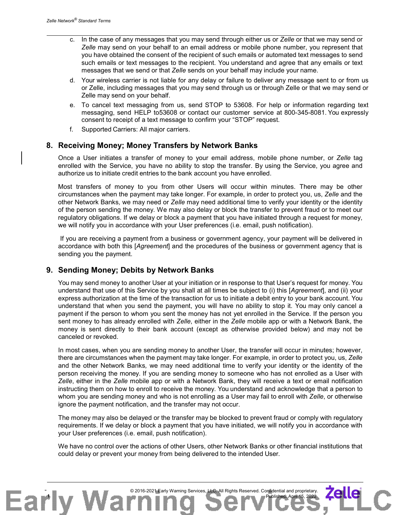-

- c. In the case of any messages that you may send through either us or *Zelle* or that we may send or *Zelle* may send on your behalf to an email address or mobile phone number, you represent that you have obtained the consent of the recipient of such emails or automated text messages to send such emails or text messages to the recipient. You understand and agree that any emails or text messages that we send or that *Zelle* sends on your behalf may include your name.
- d. Your wireless carrier is not liable for any delay or failure to deliver any message sent to or from us or Zelle, including messages that you may send through us or through Zelle or that we may send or Zelle may send on your behalf.
- e. To cancel text messaging from us, send STOP to 53608. For help or information regarding text messaging, send HELP to53608 or contact our customer service at 800-345-8081. You expressly consent to receipt of a text message to confirm your "STOP" request.
- f. Supported Carriers: All major carriers.

#### **8. Receiving Money; Money Transfers by Network Banks**

Once a User initiates a transfer of money to your email address, mobile phone number, or *Zelle* tag enrolled with the Service, you have no ability to stop the transfer. By using the Service, you agree and authorize us to initiate credit entries to the bank account you have enrolled.

Most transfers of money to you from other Users will occur within minutes. There may be other circumstances when the payment may take longer. For example, in order to protect you, us, *Zelle* and the other Network Banks*,* we may need or *Zelle* may need additional time to verify your identity or the identity of the person sending the money. We may also delay or block the transfer to prevent fraud or to meet our regulatory obligations. If we delay or block a payment that you have initiated through a request for money, we will notify you in accordance with your User preferences (i.e. email, push notification).

If you are receiving a payment from a business or government agency, your payment will be delivered in accordance with both this [*Agreement*] and the procedures of the business or government agency that is sending you the payment.

#### **9. Sending Money; Debits by Network Banks**

You may send money to another User at your initiation or in response to that User's request for money. You understand that use of this Service by you shall at all times be subject to (i) this [*Agreement*], and (ii) your express authorization at the time of the transaction for us to initiate a debit entry to your bank account. You understand that when you send the payment, you will have no ability to stop it. You may only cancel a payment if the person to whom you sent the money has not yet enrolled in the Service. If the person you sent money to has already enrolled with *Zelle*, either in the *Zelle* mobile app or with a Network Bank, the money is sent directly to their bank account (except as otherwise provided below) and may not be canceled or revoked.

In most cases, when you are sending money to another User, the transfer will occur in minutes; however, there are circumstances when the payment may take longer. For example, in order to protect you, us, *Zelle*  and the other Network Banks*,* we may need additional time to verify your identity or the identity of the person receiving the money. If you are sending money to someone who has not enrolled as a User with *Zelle*, either in the *Zelle* mobile app or with a Network Bank, they will receive a text or email notification instructing them on how to enroll to receive the money. You understand and acknowledge that a person to whom you are sending money and who is not enrolling as a User may fail to enroll with *Zelle*, or otherwise ignore the payment notification, and the transfer may not occur.

The money may also be delayed or the transfer may be blocked to prevent fraud or comply with regulatory requirements. If we delay or block a payment that you have initiated, we will notify you in accordance with your User preferences (i.e. email, push notification).

We have no control over the actions of other Users, other Network Banks or other financial institutions that could delay or prevent your money from being delivered to the intended User.

**1** Published: April 15, 2022

© 2016-2021 Early Warning Services, LLC. All Rights Reserved. Confidential and proprietary.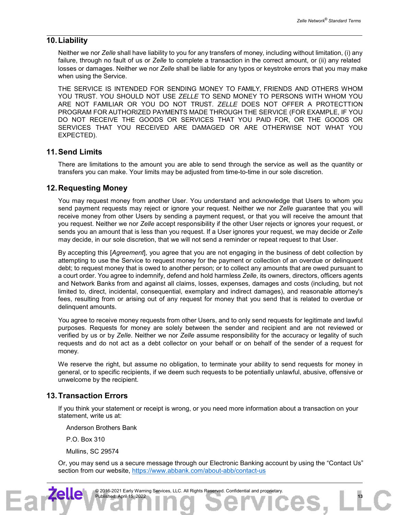#### **10.Liability**

Neither we nor *Zelle* shall have liability to you for any transfers of money, including without limitation, (i) any failure, through no fault of us or *Zelle* to complete a transaction in the correct amount, or (ii) any related losses or damages. Neither we nor *Zelle* shall be liable for any typos or keystroke errors that you may make when using the Service.

THE SERVICE IS INTENDED FOR SENDING MONEY TO FAMILY, FRIENDS AND OTHERS WHOM YOU TRUST. YOU SHOULD NOT USE *ZELLE* TO SEND MONEY TO PERSONS WITH WHOM YOU ARE NOT FAMILIAR OR YOU DO NOT TRUST. *ZELLE* DOES NOT OFFER A PROTECTTION PROGRAM FOR AUTHORIZED PAYMENTS MADE THROUGH THE SERVICE (FOR EXAMPLE, IF YOU DO NOT RECEIVE THE GOODS OR SERVICES THAT YOU PAID FOR, OR THE GOODS OR SERVICES THAT YOU RECEIVED ARE DAMAGED OR ARE OTHERWISE NOT WHAT YOU EXPECTED).

#### **11.Send Limits**

There are limitations to the amount you are able to send through the service as well as the quantity or transfers you can make. Your limits may be adjusted from time-to-time in our sole discretion.

#### **12.Requesting Money**

You may request money from another User. You understand and acknowledge that Users to whom you send payment requests may reject or ignore your request. Neither we nor *Zelle* guarantee that you will receive money from other Users by sending a payment request, or that you will receive the amount that you request. Neither we nor *Zelle* accept responsibility if the other User rejects or ignores your request, or sends you an amount that is less than you request. If a User ignores your request, we may decide or *Zelle*  may decide, in our sole discretion, that we will not send a reminder or repeat request to that User.

By accepting this [*Agreement*], you agree that you are not engaging in the business of debt collection by attempting to use the Service to request money for the payment or collection of an overdue or delinquent debt; to request money that is owed to another person; or to collect any amounts that are owed pursuant to a court order. You agree to indemnify, defend and hold harmless *Zelle*, its owners, directors, officers agents and Network Banks from and against all claims, losses, expenses, damages and costs (including, but not limited to, direct, incidental, consequential, exemplary and indirect damages), and reasonable attorney's fees, resulting from or arising out of any request for money that you send that is related to overdue or delinquent amounts.

You agree to receive money requests from other Users, and to only send requests for legitimate and lawful purposes. Requests for money are solely between the sender and recipient and are not reviewed or verified by us or by *Zelle*. Neither we nor *Zelle* assume responsibility for the accuracy or legality of such requests and do not act as a debt collector on your behalf or on behalf of the sender of a request for money.

We reserve the right, but assume no obligation, to terminate your ability to send requests for money in general, or to specific recipients, if we deem such requests to be potentially unlawful, abusive, offensive or unwelcome by the recipient.

#### **13.Transaction Errors**

If you think your statement or receipt is wrong, or you need more information about a transaction on your statement, write us at:

Anderson Brothers Bank

P.O. Box 310

Mullins, SC 29574

Or, you may send us a secure message through our Electronic Banking account by using the "Contact Us" section from our website,<https://www.abbank.com/about-abb/contact-us>

© 2016-2021 Early Warning Services, LLC. All Rights Reserved. Confidential and proprietary. **Zelle** e 2016-2021 Early Warning Services, LLC. All Rights Reserved. Confidential and proprietary.<br>Published: April 15, 2022 **13**<br>**13**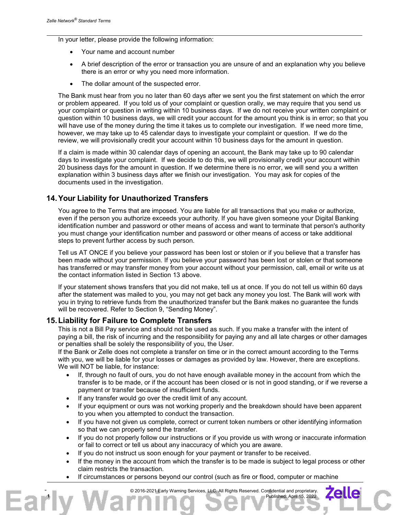In your letter, please provide the following information:

- Your name and account number
- A brief description of the error or transaction you are unsure of and an explanation why you believe there is an error or why you need more information.
- The dollar amount of the suspected error.

The Bank must hear from you no later than 60 days after we sent you the first statement on which the error or problem appeared. If you told us of your complaint or question orally, we may require that you send us your complaint or question in writing within 10 business days. If we do not receive your written complaint or question within 10 business days, we will credit your account for the amount you think is in error; so that you will have use of the money during the time it takes us to complete our investigation. If we need more time, however, we may take up to 45 calendar days to investigate your complaint or question. If we do the review, we will provisionally credit your account within 10 business days for the amount in question.

If a claim is made within 30 calendar days of opening an account, the Bank may take up to 90 calendar days to investigate your complaint. If we decide to do this, we will provisionally credit your account within 20 business days for the amount in question. If we determine there is no error, we will send you a written explanation within 3 business days after we finish our investigation. You may ask for copies of the documents used in the investigation.

#### **14.Your Liability for Unauthorized Transfers**

You agree to the Terms that are imposed. You are liable for all transactions that you make or authorize, even if the person you authorize exceeds your authority. If you have given someone your Digital Banking identification number and password or other means of access and want to terminate that person's authority you must change your identification number and password or other means of access or take additional steps to prevent further access by such person.

Tell us AT ONCE if you believe your password has been lost or stolen or if you believe that a transfer has been made without your permission. If you believe your password has been lost or stolen or that someone has transferred or may transfer money from your account without your permission, call, email or write us at the contact information listed in Section 13 above.

If your statement shows transfers that you did not make, tell us at once. If you do not tell us within 60 days after the statement was mailed to you, you may not get back any money you lost. The Bank will work with you in trying to retrieve funds from the unauthorized transfer but the Bank makes no guarantee the funds will be recovered. Refer to Section 9, "Sending Money".

#### **15.Liability for Failure to Complete Transfers**

-

This is not a Bill Pay service and should not be used as such. If you make a transfer with the intent of paying a bill, the risk of incurring and the responsibility for paying any and all late charges or other damages or penalties shall be solely the responsibility of you, the User.

If the Bank or Zelle does not complete a transfer on time or in the correct amount according to the Terms with you, we will be liable for your losses or damages as provided by law. However, there are exceptions. We will NOT be liable, for instance:

- If, through no fault of ours, you do not have enough available money in the account from which the transfer is to be made, or if the account has been closed or is not in good standing, or if we reverse a payment or transfer because of insufficient funds.
- If any transfer would go over the credit limit of any account.
- If your equipment or ours was not working properly and the breakdown should have been apparent to you when you attempted to conduct the transaction.
- If you have not given us complete, correct or current token numbers or other identifying information so that we can properly send the transfer.
- If you do not properly follow our instructions or if you provide us with wrong or inaccurate information or fail to correct or tell us about any inaccuracy of which you are aware.
- If you do not instruct us soon enough for your payment or transfer to be received.
- If the money in the account from which the transfer is to be made is subject to legal process or other claim restricts the transaction.
- If circumstances or persons beyond our control (such as fire or flood, computer or machine

© 2016-2021 Early Warning Services, LLC. All Rights Reserved. Confidential and proprietary.

**1** Published: April 15, 2022

**Alle**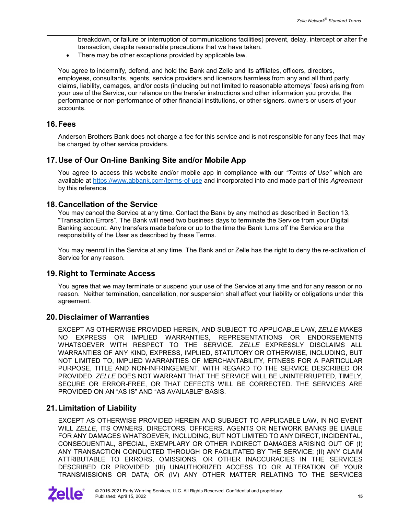breakdown, or failure or interruption of communications facilities) prevent, delay, intercept or alter the transaction, despite reasonable precautions that we have taken.

• There may be other exceptions provided by applicable law.

You agree to indemnify, defend, and hold the Bank and Zelle and its affiliates, officers, directors, employees, consultants, agents, service providers and licensors harmless from any and all third party claims, liability, damages, and/or costs (including but not limited to reasonable attorneys' fees) arising from your use of the Service, our reliance on the transfer instructions and other information you provide, the performance or non-performance of other financial institutions, or other signers, owners or users of your accounts.

#### **16.Fees**

Anderson Brothers Bank does not charge a fee for this service and is not responsible for any fees that may be charged by other service providers.

#### **17.Use of Our On-line Banking Site and/or Mobile App**

You agree to access this website and/or mobile app in compliance with our *"Terms of Use"* which are available at <https://www.abbank.com/terms-of-use> and incorporated into and made part of this *Agreement* by this reference.

#### **18.Cancellation of the Service**

You may cancel the Service at any time. Contact the Bank by any method as described in Section 13, "Transaction Errors". The Bank will need two business days to terminate the Service from your Digital Banking account. Any transfers made before or up to the time the Bank turns off the Service are the responsibility of the User as described by these Terms.

You may reenroll in the Service at any time. The Bank and or Zelle has the right to deny the re-activation of Service for any reason.

#### **19.Right to Terminate Access**

You agree that we may terminate or suspend your use of the Service at any time and for any reason or no reason. Neither termination, cancellation, nor suspension shall affect your liability or obligations under this agreement.

#### **20.Disclaimer of Warranties**

EXCEPT AS OTHERWISE PROVIDED HEREIN, AND SUBJECT TO APPLICABLE LAW, *ZELLE* MAKES NO EXPRESS OR IMPLIED WARRANTIES, REPRESENTATIONS OR ENDORSEMENTS WHATSOEVER WITH RESPECT TO THE SERVICE. *ZELLE* EXPRESSLY DISCLAIMS ALL WARRANTIES OF ANY KIND, EXPRESS, IMPLIED, STATUTORY OR OTHERWISE, INCLUDING, BUT NOT LIMITED TO, IMPLIED WARRANTIES OF MERCHANTABILITY, FITNESS FOR A PARTICULAR PURPOSE, TITLE AND NON-INFRINGEMENT, WITH REGARD TO THE SERVICE DESCRIBED OR PROVIDED. *ZELLE* DOES NOT WARRANT THAT THE SERVICE WILL BE UNINTERRUPTED, TIMELY, SECURE OR ERROR-FREE, OR THAT DEFECTS WILL BE CORRECTED. THE SERVICES ARE PROVIDED ON AN "AS IS" AND "AS AVAILABLE" BASIS.

#### **21.Limitation of Liability**

EXCEPT AS OTHERWISE PROVIDED HEREIN AND SUBJECT TO APPLICABLE LAW, IN NO EVENT WILL *ZELLE*, ITS OWNERS, DIRECTORS, OFFICERS, AGENTS OR NETWORK BANKS BE LIABLE FOR ANY DAMAGES WHATSOEVER, INCLUDING, BUT NOT LIMITED TO ANY DIRECT, INCIDENTAL, CONSEQUENTIAL, SPECIAL, EXEMPLARY OR OTHER INDIRECT DAMAGES ARISING OUT OF (I) ANY TRANSACTION CONDUCTED THROUGH OR FACILITATED BY THE SERVICE; (II) ANY CLAIM ATTRIBUTABLE TO ERRORS, OMISSIONS, OR OTHER INACCURACIES IN THE SERVICES DESCRIBED OR PROVIDED; (III) UNAUTHORIZED ACCESS TO OR ALTERATION OF YOUR TRANSMISSIONS OR DATA; OR (IV) ANY OTHER MATTER RELATING TO THE SERVICES